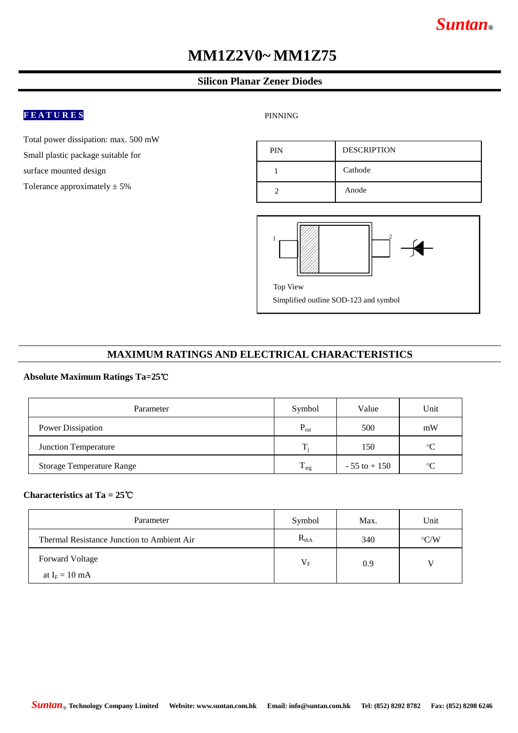# *Suntan***®**

# **MM1Z2V0~ MM1Z75**

## **Silicon Planar Zener Diodes**

# **F E A T U R E S**

Total power dissipation: max. 500 mW Small plastic package suitable for surface mounted design

Tolerance approximately  $\pm 5\%$ 

#### PINNING





## **MAXIMUM RATINGS AND ELECTRICAL CHARACTERISTICS**

## **Absolute Maximum Ratings Ta=25**℃

| Parameter                        | Symbol           | Value           | Unit        |
|----------------------------------|------------------|-----------------|-------------|
| Power Dissipation                | $P_{\text{tot}}$ | 500             | mW          |
| Junction Temperature             | T.               | 150             | $\rm ^{o}C$ |
| <b>Storage Temperature Range</b> | $T_{\rm stg}$    | $-55$ to $+150$ | $\Omega$    |

### **Characteristics at Ta = 25**℃

| Parameter                                  | Symbol    | Max. | Unit          |
|--------------------------------------------|-----------|------|---------------|
| Thermal Resistance Junction to Ambient Air | $R_{thA}$ | 340  | $\rm ^{O}C/W$ |
| <b>Forward Voltage</b>                     | $V_{F}$   | 0.9  |               |
| at $I_F = 10$ mA                           |           |      |               |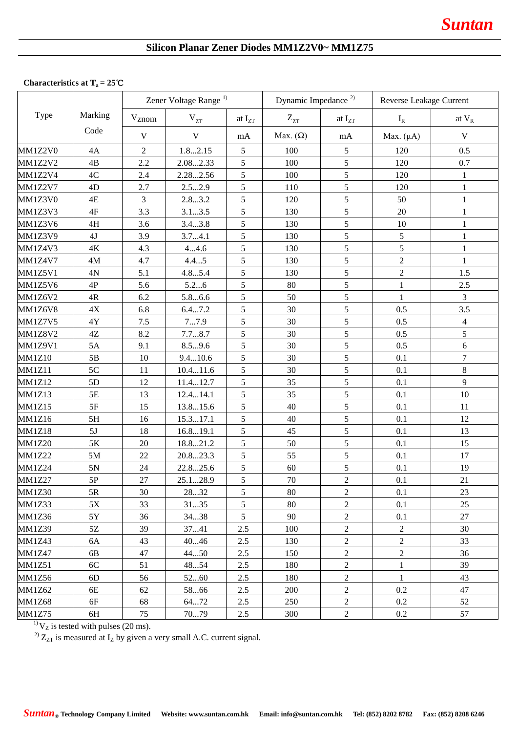# **Silicon Planar Zener Diodes MM1Z2V0~ MM1Z75**

# **Characteristics at T<sup>a</sup> = 25**℃

|                |               | Zener Voltage Range <sup>1)</sup> |             |             | Dynamic Impedance <sup>2)</sup> |                | Reverse Leakage Current |                |
|----------------|---------------|-----------------------------------|-------------|-------------|---------------------------------|----------------|-------------------------|----------------|
| Type           | Marking       | Vznom                             | $V_{ZT}$    | at $I_{ZT}$ | $Z_{ZT}$                        | at $I_{ZT}$    | $I_R$                   | at $V_R$       |
|                | Code          | $\mathbf{V}$                      | $\mathbf V$ | mA          | Max. $(\Omega)$                 | mA             | Max. $(\mu A)$          | $\mathbf V$    |
| MM1Z2V0        | 4A            | $\overline{2}$                    | 1.82.15     | 5           | 100                             | 5              | 120                     | 0.5            |
| MM1Z2V2        | $4\mathrm{B}$ | 2.2                               | 2.082.33    | 5           | 100                             | 5              | 120                     | 0.7            |
| MM1Z2V4        | 4C            | 2.4                               | 2.282.56    | 5           | 100                             | 5              | 120                     | $\mathbf{1}$   |
| MM1Z2V7        | 4D            | 2.7                               | 2.52.9      | 5           | 110                             | 5              | 120                     | $\mathbf{1}$   |
| MM1Z3V0        | 4E            | 3                                 | 2.83.2      | 5           | 120                             | 5              | 50                      | $\mathbf{1}$   |
| MM1Z3V3        | 4F            | 3.3                               | 3.13.5      | 5           | 130                             | 5              | 20                      | 1              |
| MM1Z3V6        | 4H            | 3.6                               | 3.43.8      | 5           | 130                             | 5              | 10                      | $\mathbf{1}$   |
| MM1Z3V9        | $4J$          | 3.9                               | 3.74.1      | 5           | 130                             | 5              | 5                       | $\mathbf{1}$   |
| MM1Z4V3        | $4\mathrm{K}$ | 4.3                               | 44.6        | 5           | 130                             | 5              | 5                       | $\mathbf{1}$   |
| MM1Z4V7        | 4M            | 4.7                               | 4.45        | 5           | 130                             | 5              | $\overline{2}$          | $\mathbf{1}$   |
| MM1Z5V1        | 4N            | 5.1                               | 4.85.4      | 5           | 130                             | 5              | $\sqrt{2}$              | 1.5            |
| MM1Z5V6        | 4P            | 5.6                               | 5.26        | 5           | 80                              | 5              | 1                       | 2.5            |
| MM1Z6V2        | 4R            | 6.2                               | 5.86.6      | 5           | 50                              | 5              | $\mathbf{1}$            | $\overline{3}$ |
| MM1Z6V8        | $4\mathrm{X}$ | 6.8                               | 6.47.2      | 5           | 30                              | 5              | 0.5                     | 3.5            |
| <b>MM1Z7V5</b> | 4Y            | 7.5                               | 77.9        | 5           | 30                              | 5              | 0.5                     | $\overline{4}$ |
| <b>MM1Z8V2</b> | $4\mathbf{Z}$ | 8.2                               | 7.78.7      | 5           | 30                              | 5              | 0.5                     | 5              |
| MM1Z9V1        | 5A            | 9.1                               | 8.59.6      | 5           | 30                              | 5              | 0.5                     | 6              |
| <b>MM1Z10</b>  | 5B            | 10                                | 9.410.6     | 5           | 30                              | 5              | 0.1                     | 7              |
| <b>MM1Z11</b>  | 5C            | 11                                | 10.411.6    | 5           | 30                              | 5              | 0.1                     | 8              |
| <b>MM1Z12</b>  | 5D            | 12                                | 11.412.7    | 5           | 35                              | 5              | 0.1                     | 9              |
| <b>MM1Z13</b>  | $5E$          | 13                                | 12.414.1    | 5           | 35                              | 5              | 0.1                     | 10             |
| <b>MM1Z15</b>  | 5F            | 15                                | 13.815.6    | 5           | 40                              | 5              | 0.1                     | 11             |
| <b>MM1Z16</b>  | 5H            | 16                                | 15.317.1    | 5           | 40                              | 5              | 0.1                     | 12             |
| <b>MM1Z18</b>  | 5J            | 18                                | 16.819.1    | 5           | 45                              | 5              | 0.1                     | 13             |
| <b>MM1Z20</b>  | 5K            | 20                                | 18.821.2    | 5           | 50                              | 5              | 0.1                     | 15             |
| <b>MM1Z22</b>  | $5M$          | 22                                | 20.823.3    | 5           | 55                              | 5              | 0.1                     | 17             |
| <b>MM1Z24</b>  | $5N$          | $24\,$                            | 22.825.6    | 5           | 60                              | 5              | 0.1                     | 19             |
| <b>MM1Z27</b>  | $5{\rm P}$    | $27\,$                            | 25.128.9    | 5           | 70                              | $\overline{2}$ | $0.1\,$                 | 21             |
| <b>MM1Z30</b>  | 5R            | 30                                | 2832        | 5           | 80                              | $\overline{2}$ | 0.1                     | 23             |
| <b>MM1Z33</b>  | $5X$          | 33                                | 3135        | 5           | 80                              | $\overline{c}$ | 0.1                     | 25             |
| <b>MM1Z36</b>  | 5Y            | 36                                | 3438        | 5           | 90                              | $\overline{2}$ | 0.1                     | 27             |
| <b>MM1Z39</b>  | $5{\rm Z}$    | 39                                | 3741        | 2.5         | 100                             | $\overline{c}$ | $\mathbf{2}$            | 30             |
| <b>MM1Z43</b>  | 6A            | 43                                | 4046        | 2.5         | 130                             | $\overline{c}$ | $\overline{c}$          | 33             |
| <b>MM1Z47</b>  | 6B            | 47                                | 4450        | 2.5         | 150                             | $\overline{2}$ | $\mathbf{2}$            | 36             |
| <b>MM1Z51</b>  | 6C            | 51                                | 4854        | 2.5         | 180                             | $\overline{c}$ | $\,1\,$                 | 39             |
| <b>MM1Z56</b>  | 6D            | 56                                | 5260        | 2.5         | 180                             | $\sqrt{2}$     | 1                       | 43             |
| <b>MM1Z62</b>  | 6E            | 62                                | 5866        | 2.5         | 200                             | $\overline{2}$ | 0.2                     | 47             |
| <b>MM1Z68</b>  | 6F            | 68                                | 6472        | 2.5         | 250                             | $\overline{2}$ | 0.2                     | 52             |
| <b>MM1Z75</b>  | 6H            | 75                                | 7079        | 2.5         | 300                             | $\overline{2}$ | 0.2                     | 57             |

 $^{1)}$ V<sub>Z</sub> is tested with pulses (20 ms).

<sup>2)</sup>  $Z_{ZT}$  is measured at  $I_Z$  by given a very small A.C. current signal.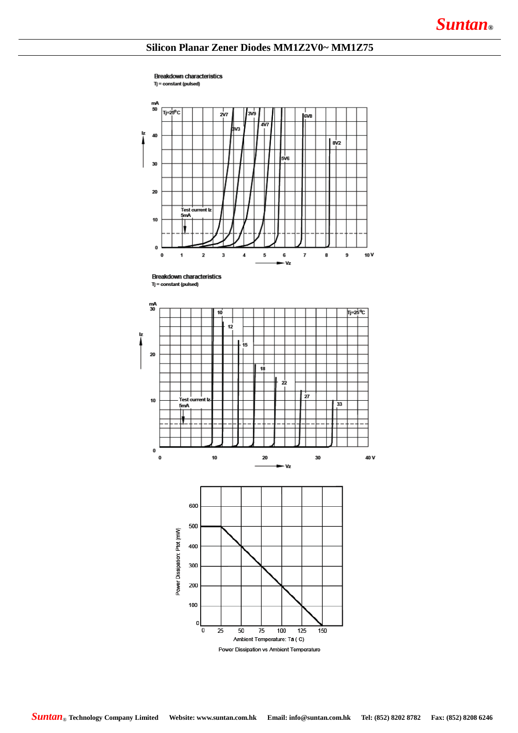## **Silicon Planar Zener Diodes MM1Z2V0~ MM1Z75**

**Breakdown characteristics** Tj = constant (pulsed)



**Breakdown characteristics**  $T = constant (pulsed)$ 

100

 $\mathbf 0$  $\overline{0}$ 

 $\overline{25}$ 

50

 $\overline{75}$ 

Ambient Temperature: Ta (C) Power Dissipation vs Ambient Temperature

100

 $\overline{125}$ 

150